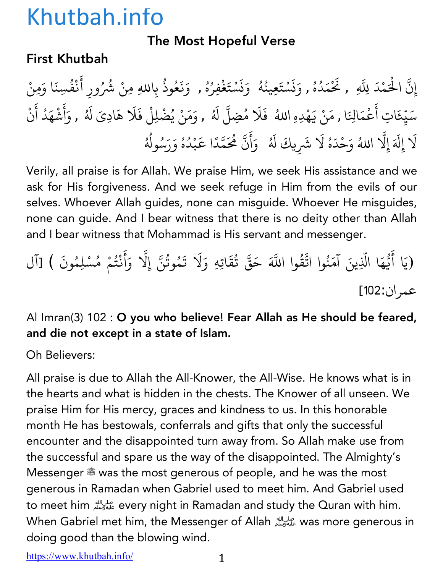#### The Most Hopeful Verse

#### First Khutbah

إِنَّ الْحَمْدَ لِلَّهِ , نَحْمَدُهُ , وَنَسْتَعِينُهُ ۚ وَنَسْتَغْفِرُهُ , وَنَعُوذُ بِاللهِ مِنْ شُرُ ِّ بِهِ ا ؚ<br>ؚ **∶** ز **∶** <u>ّ</u> ُ ∫<br>່ **∶** ز **∶** <u>ّ</u> ؚ<br>: ِّ بِ المسلم<br>المسلمان<br>المسلمان **∶ ∶** ∫<br>∫ بِاللهِ مِنْ شُرُورِ أَنْفُسِنَا وَمِنْ ै<br>; **Andrew Communication** ُ سَيِّعَاتِ أَعْمَالِنَا , مَنْ يَهْدِهِ اللهُ ۖ فَلَا مُضِلَّ لَهُ , وَمَنْ يُضْلِلْ فَلَا هَادِىَ لَهُ , وَأَشْهَدُ أَنْ ؚ<br>֦֖֧֡֝֟֟֟֟֟֟֟֟֟֟֟֟֟֟֟֟֟֟֟֟֟֟֟֟֟֟֟֟֟֟<sup>֟</sup> ֧֦֧֝<u>֘</u> **∶** ْ **∶** ्<br>। ا<br>ُ ؚ<br>ؚ ∫<br>≀ **∶** أ ्<br>∶ **Andrew Communication ∶ Andrew Communication** لَا إِلَهَ إِلَّا اللهُ وَحْدَهُ لَا شَرِيكَ لَهُ ۚ وَأَنَّ هُٰحَمَّدًا عَبْدُهُ وَرَسُولُهُ **∶** ֧֖֧֖֚֚֚֚֝֝֟֓֝֬֝<br>֧֚֚֝<br>֧֚֝ ∫<br>່ **∶ │** ्<br>। ا<br>المسلمانية<br>المسلمانية **∶** أ َ ّ ֧֦֧֝<u>֘</u> َ**Andrew Communication** ُ ُ ُ ا<br>ُ

Verily, all praise is for Allah. We praise Him, we seek His assistance and we ask for His forgiveness. And we seek refuge in Him from the evils of our selves. Whoever Allah guides, none can misguide. Whoever He misguides, none can guide. And I bear witness that there is no deity other than Allah and I bear witness that Mohammad is His servant and messenger.

.<br>(يَا أَيُّهَا الَّذِينَ آمَنُوا اتَّقُّ **∶** ֪֪֪֪֪֪֦֖֧֚֡֟֟֓֟֟֟֟֟֟֟֟֟֟֟֓֟֟֟֟֟֬֟֟֟֟֝֟<u>֟</u> ्<br>। ֧֧֡֓֟֓֝֟֓֝֟֜*֟* ُ ্র<br>ব وا اللَّهَ حَقَّ تُقَاتِهِ وَلَا تَمُوتُنَّ إِلَّا وَأَنْتُمْ مُسْلِمُونَ ) [آل ُ  $\ddot{\phantom{0}}$ ُ ֧֖֧֦֧֦֧֦֧֚֚֝֝֝֬<br>֧֚֝<br>֧֝ **∶ ∶** ْ المستقبل المستقبل المستقبل المستقبل المستقبل المستقبل المستقبل المستقبل المستقبل المستقبل المستقبل المستقبل ال<br>والمستقبل المستقبل المستقبل المستقبل المستقبل المستقبل المستقبل المستقبل المستقبل المستقبل المستقبل المستقبل ا عمر ان:102]

#### Al Imran(3) 102 : O you who believe! Fear Allah as He should be feared, and die not except in a state of Islam.

Oh Believers:

All praise is due to Allah the All-Knower, the All-Wise. He knows what is in the hearts and what is hidden in the chests. The Knower of all unseen. We praise Him for His mercy, graces and kindness to us. In this honorable month He has bestowals, conferrals and gifts that only the successful encounter and the disappointed turn away from. So Allah make use from the successful and spare us the way of the disappointed. The Almighty's Messenger  $\stackrel{\text{\tiny def}}{=}$  was the most generous of people, and he was the most generous in Ramadan when Gabriel used to meet him. And Gabriel used to meet him على الله every night in Ramadan and study the Quran with him. When Gabriel met him, the Messenger of Allah عليه وسلم الله was more generous in doing good than the blowing wind.

https://www.khutbah.info/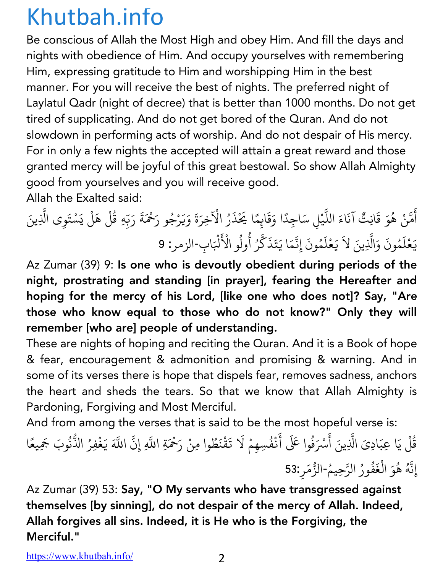Be conscious of Allah the Most High and obey Him. And fill the days and nights with obedience of Him. And occupy yourselves with remembering Him, expressing gratitude to Him and worshipping Him in the best manner. For you will receive the best of nights. The preferred night of Laylatul Qadr (night of decree) that is better than 1000 months. Do not get tired of supplicating. And do not get bored of the Quran. And do not slowdown in performing acts of worship. And do not despair of His mercy. For in only a few nights the accepted will attain a great reward and those granted mercy will be joyful of this great bestowal. So show Allah Almighty good from yourselves and you will receive good. Allah the Exalted said:

أ ់<br>រ مَّنْ هُوَ قَانِتٌ آنَاءَ اللَّيْلِ سَاجِدًا وَقَايِمًا يَحْذَرُ الْآخِرَةَ وَيَرْجُو رَحْمَةَ رَبِّهِ قُلْ هَلْ يَسْتَوِي الَّذِينَ **:** ∫<br>≀ ֧֧֦֖֖֖֖֖֖֖֧֖֖֧֪֪֪֪֪֪֦֧֦֧֧֧֧֚֚֚֚֚֚֚֚֚֚֚֚֚֝֝֬֝֝֝֬֝֟֓֓֝֬֜֬֓֜֜֜֬ .<br>.<br>. **│** ैं।<br>। ्<br>। **∶** َ **∶** ُ **│** ֧֦֧֦֧֦֧<u>֘</u> ُ ْ **∶** ֧֦֧֖֚֚֝֟֓֕֝֬ **∶** ت<br>يَعْلَمُونَ وَالَّذِينَ لاَ يَعْلَمُونَ إِنَّمَا يَتَذَكَّرُ أُولُو الْأَ **ृ** ؚ<br>ׇׇ֧֡֡֟<u>֚</u> **∶** ֧֧֦֧֦֧֦֧֦֖֖֚֚֚֚֝֝֝֬<br>֧֚֚֚֝ **∶** ؚ<br>ׇׇׇ֧֧֡֟֟<u>֚</u> **∶ :** ्<br>। ै।<br>। ֦֦֧֦֧֦֧֦֧֦֧ׅ֧֦֧ׅ֧ׅ֧ׅ֧֦֧֧ׅ֧֧ׅ֧ׅ֧֧֚֚֚֚֡֝֝֜֓֜֓֜֓֜֓֜֜֓֜֜֓֜֓֜֜<br>֧֧ׅ֧֧֪֧֪֖֧֛֪֛֚֚֚֚֝֜֜֓֝֬֝֝֜ ُ لْبَابِ-الزمر: 9

Az Zumar (39) 9: Is one who is devoutly obedient during periods of the night, prostrating and standing [in prayer], fearing the Hereafter and hoping for the mercy of his Lord, [like one who does not]? Say, "Are those who know equal to those who do not know?" Only they will remember [who are] people of understanding.

These are nights of hoping and reciting the Quran. And it is a Book of hope & fear, encouragement & admonition and promising & warning. And in some of its verses there is hope that dispels fear, removes sadness, anchors the heart and sheds the tears. So that we know that Allah Almighty is Pardoning, Forgiving and Most Merciful.

And from among the verses that is said to be the most hopeful verse is:

e verses anaris sana to se ano most noperar verse is.<br>قُلْ يَا عِبَادِيَ الَّذِينَ أَسْرَفُوا عَلَى أَنْفُسِهِمْ لَا تَقْنَطُوا مِنْ رَحْمَةِ اللَّهِ إِنَّ ُ ֧֧֧֧֧֧ׅ֧֧֧֧֧֧֧֧֧ׅ֧֧֧֧֧֧֧֧֧֧֧֧֧֧֧֚֝֟֟֓֝֟֟֓֝֬֝֟֓֝֬֝֟֓֝֬֝֟֓֝֬֝֬֝֟֓֝֬֝֟֓֝֬֝֟֓֝֬֟֜֜<br>֧֧֧֧֧֧֧֚֝֜֝֬ ا<br>: ْ ُ  $\ddot{\phantom{a}}$ *CONTRACTOR COMMUNICATION* ُ ֧֧֦֖֖֖֖֖֖֖֧֖֧֪֪֪֪֪֪֦֧֧֧֧֧֦֧֧֧֚֚֚֚֚֚֚֚֚֚֚֚֚֝֝֬֝֝֝֬֝֟֓֝֬֓֝֬֓֝֬֜֜֝֬֜֜ ֧֧֧֧֦֧֧֦֧֧֧֧֧֝֟֟֓֝֟֟֓֝֟֓֝֟֓֝֬֝֟֓֝֬֟֓֝֬֝֬֟֓֜֜֜֜<br>֧֪֪֧֧֧֪֖֧֪֪֪֪֪֪֪֪֪֪֪֪֪֪֪֪֪֪֪֪֪֪֪֪֪֪֚֝֝֝֟֝֟֝֬֝֟ ्<br>द اللَّهَ يَغْفِرُ الذُّنُوبَ جَمِيعًا **∶** <u>:</u> ُ ًإِنَّهُ هُوَ الْغَفُورُ الرَّحِيمُ-الزُّمَرِ:53 **:** ُ المسلم<br>المسلمات *CONTRACTOR COMMUNICATION*  $\overline{\phantom{a}}$ ُ ُ ֧֧֚֝֟֟֓֝֟֟֓֝֬<br>֧֚֝֟֩֝֬֝֟֟֬<br>֧֖֖֚֚֚֝֟֩֝֟֬<u>֚</u> ُ<u>:</u>

Az Zumar (39) 53: Say, "O My servants who have transgressed against themselves [by sinning], do not despair of the mercy of Allah. Indeed, Allah forgives all sins. Indeed, it is He who is the Forgiving, the Merciful."

https://www.khutbah.info/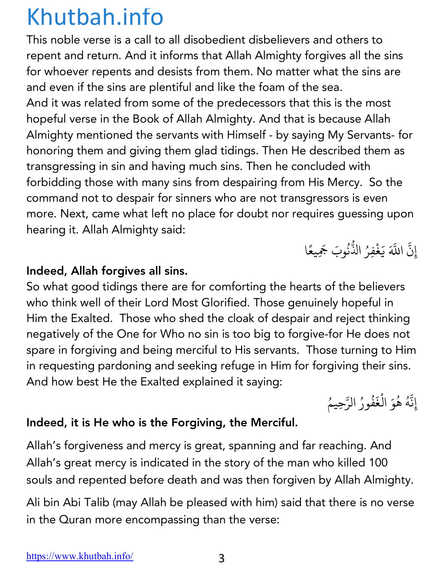This noble verse is a call to all disobedient disbelievers and others to repent and return. And it informs that Allah Almighty forgives all the sins for whoever repents and desists from them. No matter what the sins are and even if the sins are plentiful and like the foam of the sea. And it was related from some of the predecessors that this is the most hopeful verse in the Book of Allah Almighty. And that is because Allah Almighty mentioned the servants with Himself - by saying My Servants- for honoring them and giving them glad tidings. Then He described them as transgressing in sin and having much sins. Then he concluded with forbidding those with many sins from despairing from His Mercy. So the command not to despair for sinners who are not transgressors is even more. Next, came what left no place for doubt nor requires guessing upon hearing it. Allah Almighty said:

Indeed, Allah forgives all sins.

So what good tidings there are for comforting the hearts of the believers who think well of their Lord Most Glorified. Those genuinely hopeful in Him the Exalted. Those who shed the cloak of despair and reject thinking negatively of the One for Who no sin is too big to forgive-for He does not spare in forgiving and being merciful to His servants. Those turning to Him in requesting pardoning and seeking refuge in Him for forgiving their sins. And how best He the Exalted explained it saying:

إِنَّهُ هُوَ الْغَفُورُ الرَّحِيمُ ֧֖֧֡֓֝֟֟֓<u>֓</u> ∫<br>≀ ُ *CONTRACTOR COMMUNICATION* ֚֝<u>֝</u> المستقبل المستقبل المستقبل المستقبل المستقبل المستقبل المستقبل المستقبل المستقبل المستقبل المستقبل المستقبل ال<br>والمستقبل المستقبل المستقبل المستقبل المستقبل المستقبل المستقبل المستقبل المستقبل المستقبل المستقبل المستقبل ا ُ ֧֧֪֪֪֦֪֪֪֦֧֝֟֟֓֝֟֟֟֟֓֝֟֟֓֝֬֝֟֟֓֝֬֝֟֟֝֬֟֓֝֬֝֟֟֝֬֝֟֟֬֝֬֝֬<br>֧֧֧֧֧֧֝֟֩֝֟֟֩֕֝֟֟֟֝֟֟֝֟ ُ

إِن ֧֪֦֧֪֧֝֟֟֟֟֟֟֟֟֟֟֟֟֟֟֟֟֟֟֟֟֟֟֟֟֟֟֡֬֟֟֩֕֟֟֟֟<br>֧֧֧֪֧֪֪֪֪֪֪֪֧֪֪֪֪֪֪֪֪֪֝֟֝֟֟֟֟֝֟֟֟֬֟֝֟֝֬֟֟֟

ِ<br>آ

**│** 

اللَّهَ يَغْفِرُ الذُّنُوبَ جَمِيعًا

**.** ُ

֧֦֖֖֦֖֦֧֧֦֧֧ׅ֧֧ׅ֧֧ׅ֧ׅ֧֧֚֚֚֚֚֝֝֝֝֝֝֓֝֬֝֓֟֓֝֬֝֓֝֬֝֓֝֬֜֓֓֝֬֜֓֓֝֬֜֓֜֓֝֬

#### Indeed, it is He who is the Forgiving, the Merciful.

Allah's forgiveness and mercy is great, spanning and far reaching. And Allah's great mercy is indicated in the story of the man who killed 100 souls and repented before death and was then forgiven by Allah Almighty.

Ali bin Abi Talib (may Allah be pleased with him) said that there is no verse in the Quran more encompassing than the verse: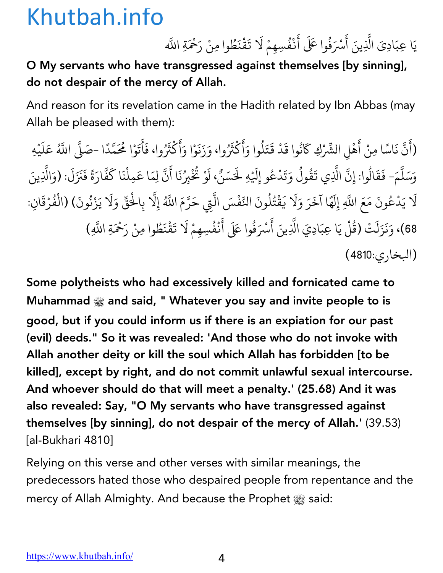يَا عِبَادِيَ الَّذِينَ أَسْرَفُوا عَلَى أَنْفُسِهِمْ لَا تَقْنَطُوا مِنْ رَحْمَةِ اللَّه ֧֧֪֧֦֧֪֧֝֟֟֓֝֟֟֟֟֟֟֟֟֟֓֝֬֟֟֟֟֟֬֝֟֟֝֬֟֟֩֕֟֟֟֝֬<br>֧֧֧֧֪֧֝֟֩֝֟֟֝֟֟ ֧֝֟֟֓֝֟֟֟֟֓֡֬֟֓֡֬ ْ ِّ بِ **∶ Andrew Communication** ैं।<br>। ֧֧֪֪֦֧֪֪֪֦֧֧֝֟֟֓֝֟֟֟֟֓֝֬֟֓֝֬֝֟֟֓֝֬֝֬֟֟֟֟֬֝֬֟֟֟֝֬֝֬֟֟֬֝֬֟<br>֧֧֧֧֪֪֝֟֩֝֟֝֟

O My servants who have transgressed against themselves [by sinning], do not despair of the mercy of Allah.

And reason for its revelation came in the Hadith related by Ibn Abbas (may Allah be pleased with them):

(أَنَّ نَاسًا مِنْ أَهْلِ الشَّرْكِ كَانُوا قَدْ قَتَلُوا وَأَكْثَرُوا، وَزَنَوْا وَأَكْثَرُوا، فَأَتَوْا مُحَمَّدًا -صَلَّى اللَّهُ ै।<br>। **. ا**<br>ا **∶** ់<br>ខែ  $\ddot{\phantom{a}}$ **∶ ∶** ُ **∶ ∶** ْ َ َ **∶** ैं।<br>। <u>់</u> **∶** ैं।<br>. <u>:</u> **.** ً **.** اللَّهُ عَلَيْهِ َ **∶ Andrew Communication** وَسَلَّمَ- فَقَالُوا: إِنَّ الَّذِي تَقُولُ وَتَدْعُو إِلَيْهِ لَحَسَنٌ، لَوْ تُخْبِرُنَا أَنَّ لِمَا عَمِلْنَا كَفَّارَةً فَنَزَلَ: (وَالَّذِينَ ैं.<br>. \$ **∶** ै।<br>। ُ **. ا** ُ **∶ ∶ ∶ ่ ∶** ُ  $\ddot{\phantom{a}}$ **Andrew Communication** َ **. ∶ . ∶** لَا يَدْعُونَ مَعَ اللَّهِ إِلَهًا آخَرَ وَلَا يَقْتُلُونَ النَّفْسَ الَّتِي حَرَّمَ اللَّهُ إِلَّا بِالْحَقّ وَلَا يَزْنُونَ) (الْفُرْقَانِ: ∫<br>∫ **∶ ا**<br>ا ैं।<br>। **∶** <u>ّ</u> ُ ِّ بِ \$**. .** \$ ْ ֧֧֦֖֖֖֖֖֖֧֚֚֚֚֚֚֚֝֝֬<u>֓</u> **∶** المستقبل المستقبل المستقبل المستقبل المستقبل المستقبل المستقبل المستقبل المستقبل المستقبل المستقبل المستقبل ال<br>والمستقبل المستقبل المستقبل المستقبل المستقبل المستقبل المستقبل المستقبل المستقبل المستقبل المستقبل المستقبل ا ُْ ֦֧֧֘֟֟֓<u>֚</u> ै।<br>। 68)، وَنَزَلَتْ (قُلْ يَا عِبَادِيَ الَّذِينَ أَسْرَفُوا عَلَى أَنْفُسِهِمْ لَا تَقْنَطُوا مِنْ رَحْمَةِ اللَّهِ) **ृ ∶** ُ **.** ُ ैं।<br>। **Andrew Communication** ُ ै।<br>। ैं।<br>। (البخاري:4810)

Some polytheists who had excessively killed and fornicated came to Muhammad  $\frac{1}{200}$  and said, " Whatever you say and invite people to is good, but if you could inform us if there is an expiation for our past (evil) deeds." So it was revealed: 'And those who do not invoke with Allah another deity or kill the soul which Allah has forbidden [to be killed], except by right, and do not commit unlawful sexual intercourse. And whoever should do that will meet a penalty.' (25.68) And it was also revealed: Say, "O My servants who have transgressed against themselves [by sinning], do not despair of the mercy of Allah.' (39.53) [al-Bukhari 4810]

Relying on this verse and other verses with similar meanings, the predecessors hated those who despaired people from repentance and the mercy of Allah Almighty. And because the Prophet  $\frac{160}{25}$  said: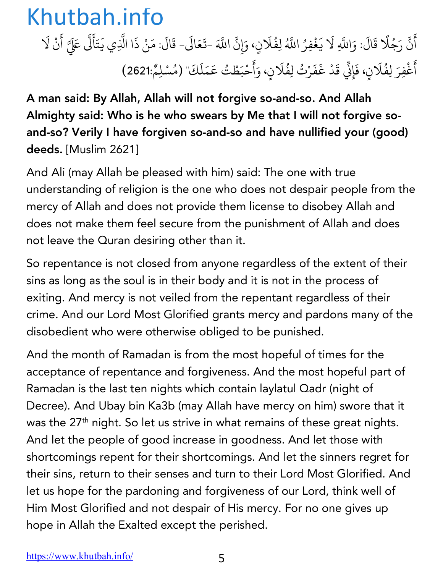أَنَّ رَجُلًا قَالَ: وَاللَّهِ لَا يَغْفِرُ اللَّهُ لِفُلَانٍ، وَإِنَّ ै।<br>। **. ا** ै।<br>। ै।<br>। Ü **.** َ\$اللَّهَ -تَعَالَى- قَالَ: مَنْ ذَا الَّذِي يَتَأَلَّى عَلَيَّ أَنْ لَا **∶ . ∶**  $\ddot{\phantom{0}}$ َ **. ∶ ∶** أَغْفِرَ لِفُلَانٍ، فَإِنِّي قَدْ غَفَرْتُ لِفُلَانٍ، وَأَحْبَطْتُ عَمَلَكَ" (مُسْلِمٌ:2621) ै।<br>। ै।<br>। **. ∶**  $\overline{\phantom{a}}$ **∶** ै।<br>। **∶** ؚ<br>ۣ ُ ֧֦֧ׅ֧֚֚֝֝֝֝֟֟֟֟֟֟֟֟֟֓֝֟֓֝֟֟֟֟֓֜ **∶** 

A man said: By Allah, Allah will not forgive so-and-so. And Allah Almighty said: Who is he who swears by Me that I will not forgive soand-so? Verily I have forgiven so-and-so and have nullified your (good) deeds. [Muslim 2621]

And Ali (may Allah be pleased with him) said: The one with true understanding of religion is the one who does not despair people from the mercy of Allah and does not provide them license to disobey Allah and does not make them feel secure from the punishment of Allah and does not leave the Quran desiring other than it.

So repentance is not closed from anyone regardless of the extent of their sins as long as the soul is in their body and it is not in the process of exiting. And mercy is not veiled from the repentant regardless of their crime. And our Lord Most Glorified grants mercy and pardons many of the disobedient who were otherwise obliged to be punished.

And the month of Ramadan is from the most hopeful of times for the acceptance of repentance and forgiveness. And the most hopeful part of Ramadan is the last ten nights which contain laylatul Qadr (night of Decree). And Ubay bin Ka3b (may Allah have mercy on him) swore that it was the 27<sup>th</sup> night. So let us strive in what remains of these great nights. And let the people of good increase in goodness. And let those with shortcomings repent for their shortcomings. And let the sinners regret for their sins, return to their senses and turn to their Lord Most Glorified. And let us hope for the pardoning and forgiveness of our Lord, think well of Him Most Glorified and not despair of His mercy. For no one gives up hope in Allah the Exalted except the perished.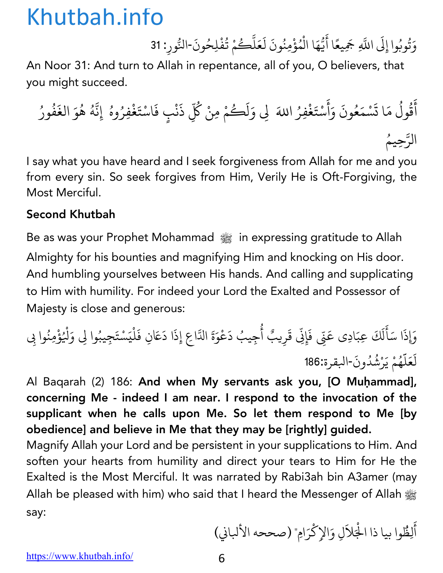وَتُوبُوا إِلَى اللَّهِ جَمِيعًا أَيُّهَا الْمُؤْمِنُونَ لَعَلَّكُمْ تُفْلِحُونَ-النُّورِ: 31 **∶** ُ ّ **∶** ֧֧֦֧֚֝<u>֘</u> **Andrew Communication ∶** َ ֧֖֧֦֦֧֦֧֚֝֝֜*֟* ∫<br>∫ ُ ֡֝֟<u>֚</u>

An Noor 31: And turn to Allah in repentance, all of you, O believers, that you might succeed.

أ َ ق ول ُ ُ م ا ت َ َ س م ْ ع َ ون ُ و َ َ أ َ س ْ ت َ غ ِفر ْ َ ِÜ <sup>و</sup> َ ا+ ُ ل ك َ ُ م ِمن ْ ك ْ ُّ ذ ِ َ ن ف ٍب ْ اس َ ْ ت َ غ ِفر ْ ُ وه إِن ُ ّ ه ُ ه ُ و َ الغ َ ف ُ ور ُ ّ الر ُِحيم

I say what you have heard and I seek forgiveness from Allah for me and you from every sin. So seek forgives from Him, Verily He is Oft-Forgiving, the Most Merciful.

#### Second Khutbah

Be as was your Prophet Mohammad  $\frac{1000}{2000}$  in expressing gratitude to Allah Almighty for his bounties and magnifying Him and knocking on His door. And humbling yourselves between His hands. And calling and supplicating to Him with humility. For indeed your Lord the Exalted and Possessor of Majesty is close and generous:

éذ َ ا س َ أ َ ل ك َ ِعب َ ِن َ ادِي <sup>ع</sup> َ ف ّ َ ِِن إ ق ّ َ يب ِر أ ٌ ُ يب ِج ُ د ع َ ْ و َ ة <sup>ع</sup> َ <sup>ا</sup> <sup>د</sup> َ <sup>ا</sup> ِع إِذ ّ ال َ ِن ف َ َ ل ْ ي س َ ْ ت يب ِج َ ُ <sup>ل</sup> َ وا ِÜ <sup>و</sup> ْ ؤ ُ ِمن ْ ُ ِ وا ب ل َ ع َ ل َّ ه ُ م ي ْ َ ر ش ْ ُ د ون ُ - ةرقلا <sup>186</sup>: َ

Al Baqarah (2) 186: And when My servants ask you, [O Muḥammad], concerning Me - indeed I am near. I respond to the invocation of the supplicant when he calls upon Me. So let them respond to Me [by obedience] and believe in Me that they may be [rightly] guided.

Magnify Allah your Lord and be persistent in your supplications to Him. And soften your hearts from humility and direct your tears to Him for He the Exalted is the Most Merciful. It was narrated by Rabi3ah bin A3amer (may Allah be pleased with him) who said that I heard the Messenger of Allah صلى الله عليه وسلم say:

أ َ ِلظ ُ ِك الإ َ ِل <sup>و</sup> َ َلا ْ وا بيا ذا ال ّْ ر اِم" (صححه الأكاç (َ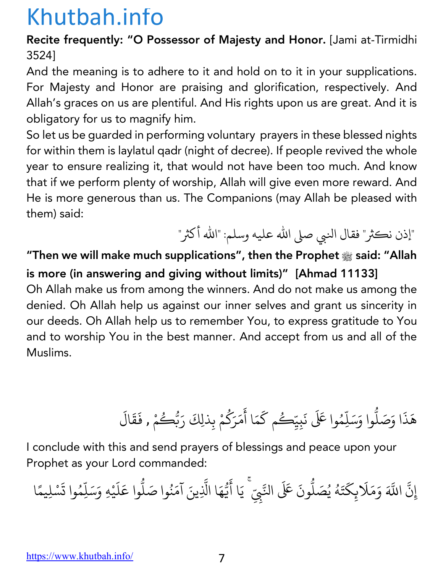Recite frequently: "O Possessor of Majesty and Honor. [Jami at-Tirmidhi 3524]

And the meaning is to adhere to it and hold on to it in your supplications. For Majesty and Honor are praising and glorification, respectively. And Allah's graces on us are plentiful. And His rights upon us are great. And it is obligatory for us to magnify him.

So let us be guarded in performing voluntary prayers in these blessed nights for within them is laylatul qadr (night of decree). If people revived the whole year to ensure realizing it, that would not have been too much. And know that if we perform plenty of worship, Allah will give even more reward. And He is more generous than us. The Companions (may Allah be pleased with them) said:

"إذن نكثر" فقال النبي صلى الله عليه وسلم: "الله أكثر"

"Then we will make much supplications", then the Prophet **صلى الله عليه وسلم** said: "Allah is more (in answering and giving without limits)" [Ahmad 11133] Oh Allah make us from among the winners. And do not make us among the denied. Oh Allah help us against our inner selves and grant us sincerity in

our deeds. Oh Allah help us to remember You, to express gratitude to You and to worship You in the best manner. And accept from us and all of the Muslims.

> هَذَا وَصَلُّوا وَسَلِّهُ .<br>י ֧֦֧֝<u>֘</u> وا عَلَى نَبِيِّكُم كَمَا أَمَرَكُمْ بِذلِكَ رَبُّكُ **∶** َ ैं।<br>∙ ؚ<br>ا **∶** ر<br>مئے ِ<br>مْ , فَقَالَ **∶ ∶**

I conclude with this and send prayers of blessings and peace upon your Prophet as your Lord commanded:

إِن ّ ्<br>द اللَّهَ وَمَلَابِكَتَهُ يُصَلُّونَ عَلَى النَّبِيِّ ۚ يَا أَيُّهَا الَّذِينَ آمَنُوا صَلُّوا عَلَيْهِ وَسَلِّمُوا تَسْلِيمًا **∶** ֺ֧֦֧֦֧֦֧֦֧֦֦֧ׅ֧֧֧֚֝֝֝֬֝֜֓֓֝֬֝֬֝֓֝֬֝֓֝֬֝֬֝֓֓֬֝֓֬֝֓֬֝֬֝֓֓֬֝֓֓֝֬֝֬֝֓֬֝֓֬֝֓֬֝֓֝֬֝֓֬֝֓֬֝֓֝֬֝ **∶** ∫<br>່ ِّ بِيَا الْمُسْتَقِينَ بِيَا الْمُسْتَقِينَ بِيَا الْمُسْتَقِينَ بِيَا الْمُسْتَقِينَ بِيَا الْمُسَتَقِينَ بِ **. ّ ∶** ֧֖֧֦֖֧֦֦֧֦֧֦֪֦֧֦֧֦֧֦֧֦֧֦֧֦֧֝֟֟֟֟֟֟֟֟֟֟֟֟֟֬֟֓֟֟֟֟֬֟֟֬֟֟֬֟֟֩֬֟֓֟֬֟֟֩֬֝֟֓֟֬֟֩֕֓֟֬֟֩֕֓֟֬֬֟֬ **ّ** ्<br>। المستقبل المستقبل المستقبل المستقبل المستقبل المستقبل المستقبل المستقبل المستقبل المستقبل المستقبل المستقبل ال<br>والمستقبل المستقبل المستقبل المستقبل المستقبل المستقبل المستقبل المستقبل المستقبل المستقبل المستقبل المستقبل ا **.** ैं।<br>। **∶ ، ∶ أ**<br>أ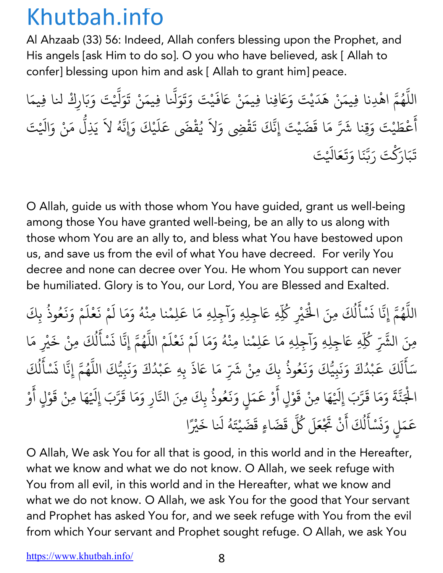Al Ahzaab (33) 56: Indeed, Allah confers blessing upon the Prophet, and His angels [ask Him to do so]. O you who have believed, ask [ Allah to confer] blessing upon him and ask [ Allah to grant him] peace.

اللَّهُمَّ اهْدِنا فِيمَنْ هَدَيْتَ وَعَافِنا فِيمَنْ عَافَيْتَ وَتَوَلَّنا فِيمَنْ تَوَلَّيْتَ وَبَارِكْ لنا فِيمَا ֧֧֦֧֦֧֦֧֚֚֝֝֝֝֬<br>֧֚֝<br>֧֚֝ ُ ֪֪֦֧֡֝֟֟֟֟֟֟֟֟֟֟֟֟֟֟֟֟֟֟֟֟֟<sup>֟</sup> **∶ ∶ ∶** ؚ<br>֧֧֪֪֖֪֝֟֟֓֝֟֟֟֟֟֟֬֝֬֝֟֟֟֟֬֝֬֝֬֝֬֝֬֝֟֝֬֝֟֩֬֝֬֝֟֝֬֝֬֝֬֝֬֝֬֝֟֝֬֝֬֝֬֝֬֝֬֝֬֝֬֝֬֝֬֝֬֝֬֝֬֝֬֝֝֬֝֝֬֝֝<br>֧֪֪֪֪֪֖֝֟֝֝֝֝֝**֟** َ ֧֧֖֚֚֚֝֟֓֝֟֓֝֬֝<br>֧֚֝<br>֚֚֝ **∶ ∶** أ ैं।<br>। ِ<br>عُطَيْتَ وَقِنا شَرَّ مَا قَضَيْتَ إِنَّكَ تَقْضِي وَلاَ يُقْضَى عَلَيْكَ وَإِنَّهُ لاَ يَذِلُّ مَنْ وَالَيْتَ **│ ∶ ∶** ُ ֢ׅ֧֚֝֝֟֟֟֟֟֟֟֟֟֜֓ **∶ : ∶** ֧֝֟֟֓֕֝֟֓֕֬֝֬֝֟֓֝֬֝֬֝֬֝֬֝֬֝֬֝֬֝֬֝֟֓֬֝֬֝֟֓֬֝֬֝֓֬֝֬֓֬֝֓֬֝֓֬֝֬֝֬ تَبَارَكْتَ رَبَّنَا وَتَعَالَيْتَ **∶** َ **∶ ، ∶ ∶** 

O Allah, guide us with those whom You have guided, grant us well-being among those You have granted well-being, be an ally to us along with those whom You are an ally to, and bless what You have bestowed upon us, and save us from the evil of what You have decreed. For verily You decree and none can decree over You. He whom You support can never be humiliated. Glory is to You, our Lord, You are Blessed and Exalted.

اللَّهُمَّ إِنَّا نَسْأَلُكَ مِنَ الْخَيْرِ كُلِّهِ عَاجِلِهِ وَآجِلِهِ مَا عَلِمْنا مِنْهُ وَمَا لَمْ نَعْلَمْ وَنَعُوذُ بِكَ ֧֖֧֦֧֦֧֦֚֚֚֚֝֝֝֬֝<br>֧֚֚֝<br>֧֚֝ المستقبل المستقبل المستقبل المستقبل المستقبل المستقبل المستقبل المستقبل المستقبل المستقبل المستقبل المستقبل ال<br>والمستقبل المستقبل المستقبل المستقبل المستقبل المستقبل المستقبل المستقبل المستقبل المستقبل المستقبل المستقبل ا **∶** .<br>ا َ ل المستقبل المستقبل المستقبل المستقبل المستقبل المستقبل المستقبل المستقبل المستقبل المستقبل المستقبل المستقبل ال<br>والمستقبل المستقبل المستقبل المستقبل المستقبل المستقبل المستقبل المستقبل المستقبل المستقبل المستقبل المستقبل ا ؚ<br>ۣ ْ∫<br>່ **∶ ∶** <u>َّ.</u> **∶ ∶ ∶** المسلم<br>المسلمان<br>المسلمان ؚ<br>ؚ مِنَ الشَّرِّ كُلِّهِ عَاجِلِهِ وَآجِلِهِ مَا عَلِمْنا مِنْهُ وَمَا لَمْ نَعْلَمْ اللَّهُمَّ إِنَّا نَسْأَلُكَ مِنْ خَيْرِ مَا ∫<br>່ **∶** ्<br>। ١, **∶ :** ِّ بِيَّةٍ بِيَّةٍ بِيَّةٍ بِيَانِيَةٍ بِيَانِيَةٍ بِيَانِيَةٍ بِيَانِيَةٍ بِيَانِيَةٍ بِيَانِيَةٍ بِيَانِيَةٍ **∶** ١. ֚֝<br>֧֚֚֝<br>֧֚֝ ل ِّ بِيَّةٍ بِيَّةٍ بِيَّةٍ بِيَانِيَةٍ بِيَانِيَةٍ بِيَانِيَةٍ بِيَانِيَةٍ بِيَانِيَةٍ بِيَانِيَةٍ بِيَانِيَةٍ ْ ्<br>। سَأَلَكَ عَبْدُكَ وَنَبِيُّكَ وَنَعُوذُ بِكَ ؚ<br>֧֧֝֟֓<u>֚</u> َ ل **∶** ֧֦֧֚֝֝֝֟֟֟֓֝֟֓֝ **Andrew Communication ∶ ∶ ∶ ∶** ُ ، مِنْ شَرِّ مَا عَاذَ بِهِ عَبْدُكَ وَنَبِيُّكَ اللَّهُمَّ إِنَّا نَسْأَلُكَ **∶** ֝֝֝֝֝֝֝֝֟֟֟֟֝֟֝֟֟֜*֟* **Andrew Communication ∶ ∶** <u>:</u> ُ **∶** .<br>ا ֖֚֝֝֝֝֝֝֝֝֝**֝** ل المسلم<br>المسلمان<br>المسلمان ؚ<br>ؚ الْجَنَّةَ وَمَا قَرَّبَ إِلَيْهَا مِنْ قَوْلٍ أَوْ عَمَلٍ وَنَعُوذُ بِكَ مِنَ النَّارِ وَمَا قَرَّبَ إِلَيْهَا مِنْ قَوْلٍ أَوْ ْ **∶** ֧֖֧֦֧֦֧֦֧֚֝֝֜*֟* **∶ ، ∶** ֧֘<u>֓</u> **∶ ∶** ֺ<u>֓</u> **∶ ∶** ُ ֧֧֦֧֦֧֦֧֚֚֝֝֝֝֬<br>֧֚֝<br>֧֚֝ **∶** ֧֧֧֚֝֟֓֕֝֟֓֕֬֝֟֓֓֝֬֝֬֝֬֝֬֝֬֝֬֝֬֝֬֝֟֓֬֝֬֝֟֓֬֝֬֓֝֬ **∶** ֧֘<u>֓</u> **∶** َ ْ عَمَلٍ وَنَسْأَلُكَ أَنْ تَجْ ֧֚֝֝֟֟֟֟֟֟֟֟֟֟֓֝ **∶** ز **∶** <u>ّ</u> ֖֦֚֝֝֝֝֝֝֝֝֝**֝** ل المسلم<br>المسلماني ์<br>: مَلَ كُلَّ ِ<br>قَضَاءٍ قَضَيْتَهُ لَنا خَيْرً **∶ Andrew Communication ∶** ا

O Allah, We ask You for all that is good, in this world and in the Hereafter, what we know and what we do not know. O Allah, we seek refuge with You from all evil, in this world and in the Hereafter, what we know and what we do not know. O Allah, we ask You for the good that Your servant and Prophet has asked You for, and we seek refuge with You from the evil from which Your servant and Prophet sought refuge. O Allah, we ask You

https://www.khutbah.info/